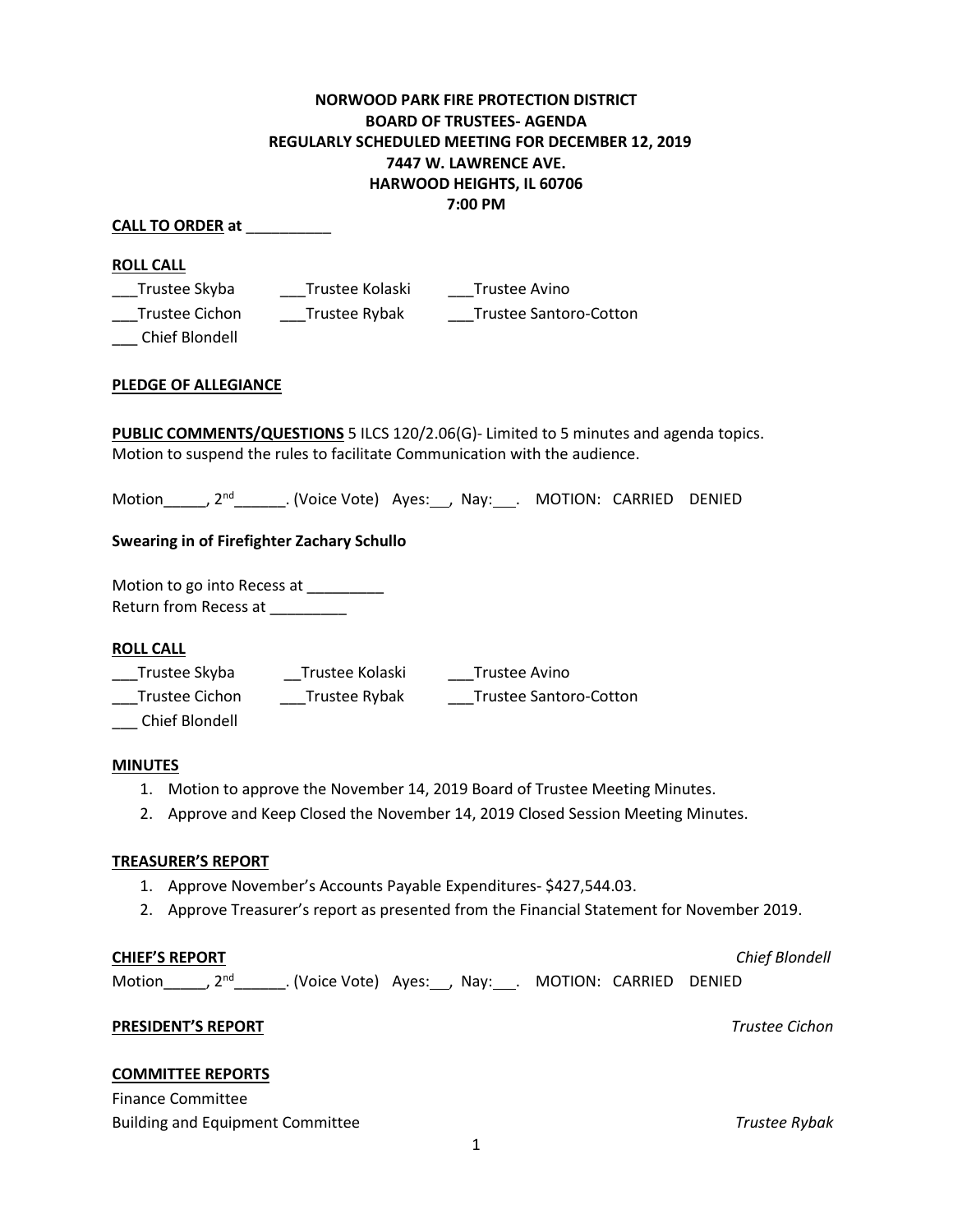# **NORWOOD PARK FIRE PROTECTION DISTRICT BOARD OF TRUSTEES- AGENDA REGULARLY SCHEDULED MEETING FOR DECEMBER 12, 2019 7447 W. LAWRENCE AVE. HARWOOD HEIGHTS, IL 60706 7:00 PM**

### **CALL TO ORDER at** \_\_\_\_\_\_\_\_\_\_

### **ROLL CALL**

\_\_\_ Chief Blondell

\_\_\_Trustee Skyba \_\_\_Trustee Kolaski \_\_\_Trustee Avino \_\_\_Trustee Cichon \_\_\_Trustee Rybak \_\_\_Trustee Santoro-Cotton

# **PLEDGE OF ALLEGIANCE**

**PUBLIC COMMENTS/QUESTIONS** 5 ILCS 120/2.06(G)- Limited to 5 minutes and agenda topics. Motion to suspend the rules to facilitate Communication with the audience.

Motion\_\_\_\_\_, 2<sup>nd</sup>\_\_\_\_\_\_\_. (Voice Vote) Ayes:\_\_\_, Nay:\_\_\_. MOTION: CARRIED DENIED

# **Swearing in of Firefighter Zachary Schullo**

Motion to go into Recess at \_\_\_\_\_\_\_\_\_ Return from Recess at \_\_\_\_\_\_\_\_

# **ROLL CALL**

\_\_\_Trustee Skyba \_\_Trustee Kolaski \_\_\_Trustee Avino \_\_\_Trustee Cichon \_\_\_Trustee Rybak \_\_\_Trustee Santoro-Cotton

\_\_\_ Chief Blondell

#### **MINUTES**

- 1. Motion to approve the November 14, 2019 Board of Trustee Meeting Minutes.
- 2. Approve and Keep Closed the November 14, 2019 Closed Session Meeting Minutes.

#### **TREASURER'S REPORT**

- 1. Approve November's Accounts Payable Expenditures- \$427,544.03.
- 2. Approve Treasurer's report as presented from the Financial Statement for November 2019.

#### **CHIEF'S REPORT** *Chief Blondell*

Motion\_\_\_\_\_\_, 2<sup>nd</sup>\_\_\_\_\_\_\_\_. (Voice Vote) Ayes:\_\_\_, Nay:\_\_\_\_. MOTION: CARRIED DENIED

# **PRESIDENT'S REPORT** *Trustee Cichon*

# **COMMITTEE REPORTS**

Finance Committee Building and Equipment Committee *Trustee Rybak*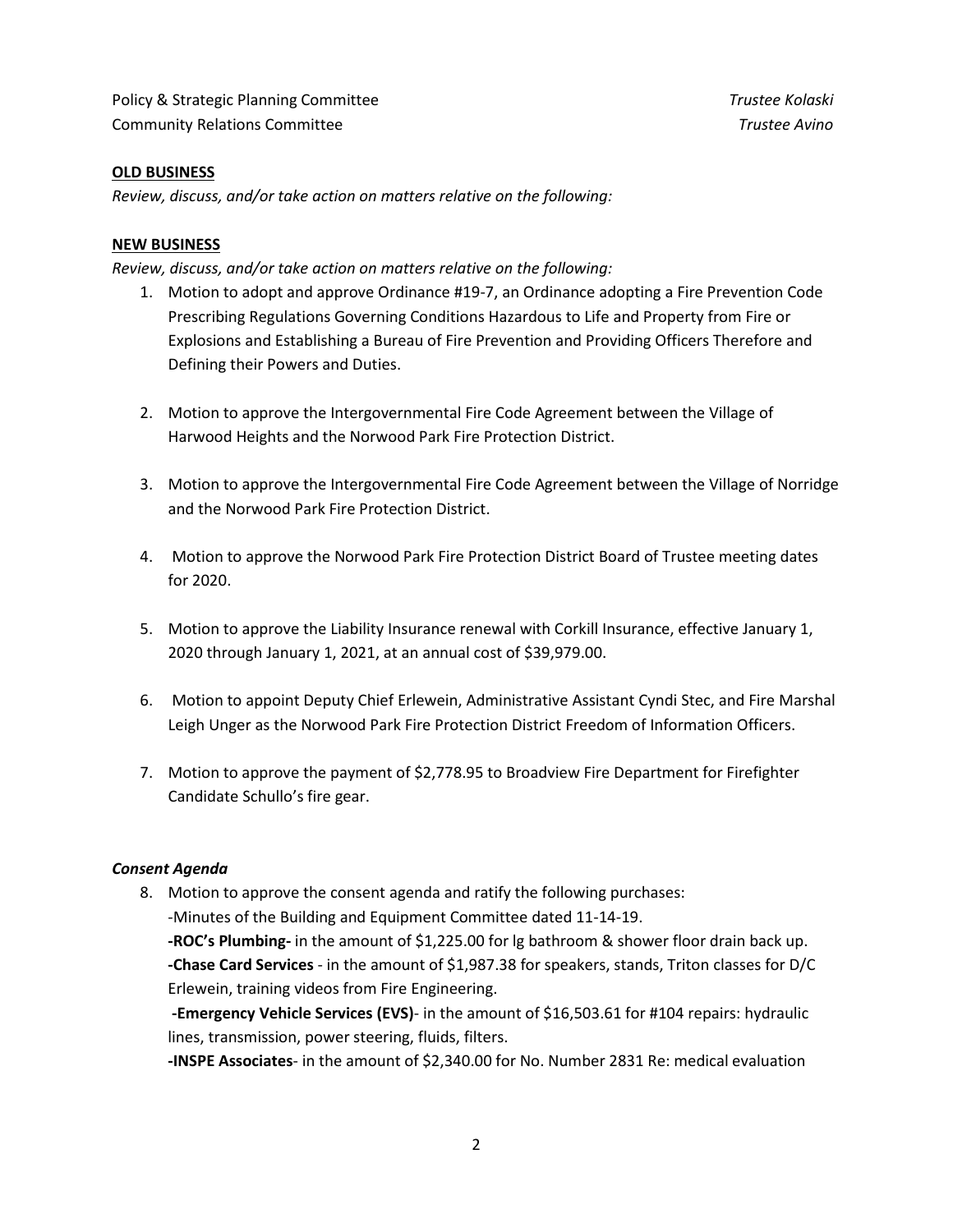Policy & Strategic Planning Committee *Trustee Kolaski* Community Relations Committee *Trustee Avino* 

### **OLD BUSINESS**

*Review, discuss, and/or take action on matters relative on the following:*

#### **NEW BUSINESS**

*Review, discuss, and/or take action on matters relative on the following:*

- 1. Motion to adopt and approve Ordinance #19-7, an Ordinance adopting a Fire Prevention Code Prescribing Regulations Governing Conditions Hazardous to Life and Property from Fire or Explosions and Establishing a Bureau of Fire Prevention and Providing Officers Therefore and Defining their Powers and Duties.
- 2. Motion to approve the Intergovernmental Fire Code Agreement between the Village of Harwood Heights and the Norwood Park Fire Protection District.
- 3. Motion to approve the Intergovernmental Fire Code Agreement between the Village of Norridge and the Norwood Park Fire Protection District.
- 4. Motion to approve the Norwood Park Fire Protection District Board of Trustee meeting dates for 2020.
- 5. Motion to approve the Liability Insurance renewal with Corkill Insurance, effective January 1, 2020 through January 1, 2021, at an annual cost of \$39,979.00.
- 6. Motion to appoint Deputy Chief Erlewein, Administrative Assistant Cyndi Stec, and Fire Marshal Leigh Unger as the Norwood Park Fire Protection District Freedom of Information Officers.
- 7. Motion to approve the payment of \$2,778.95 to Broadview Fire Department for Firefighter Candidate Schullo's fire gear.

#### *Consent Agenda*

8. Motion to approve the consent agenda and ratify the following purchases:

-Minutes of the Building and Equipment Committee dated 11-14-19.

**-ROC's Plumbing-** in the amount of \$1,225.00 for lg bathroom & shower floor drain back up. **-Chase Card Services** - in the amount of \$1,987.38 for speakers, stands, Triton classes for D/C Erlewein, training videos from Fire Engineering.

 **-Emergency Vehicle Services (EVS)**- in the amount of \$16,503.61 for #104 repairs: hydraulic lines, transmission, power steering, fluids, filters.

**-INSPE Associates**- in the amount of \$2,340.00 for No. Number 2831 Re: medical evaluation